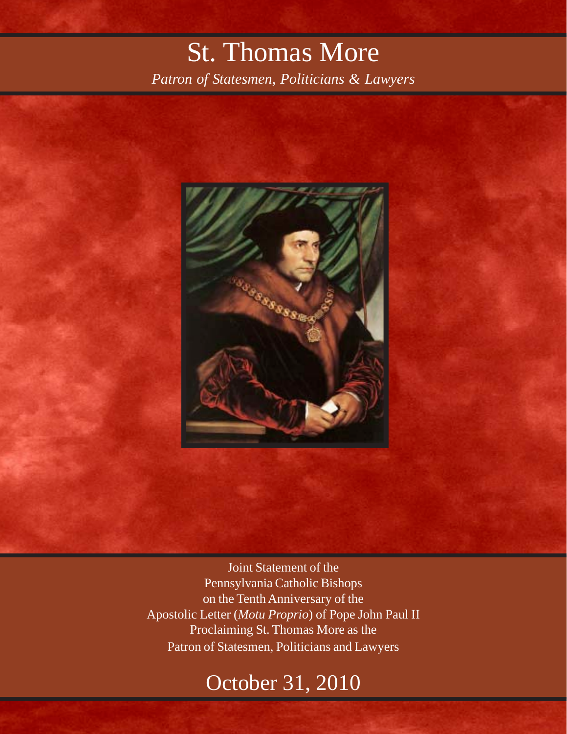## St. Thomas More

*Patron of Statesmen, Politicians & Lawyers*



Joint Statement of the Pennsylvania Catholic Bishops on the Tenth Anniversary of the Apostolic Letter (*Motu Proprio*) of Pope John Paul II Proclaiming St. Thomas More as the Patron of Statesmen, Politicians and Lawyers

## October 31, 2010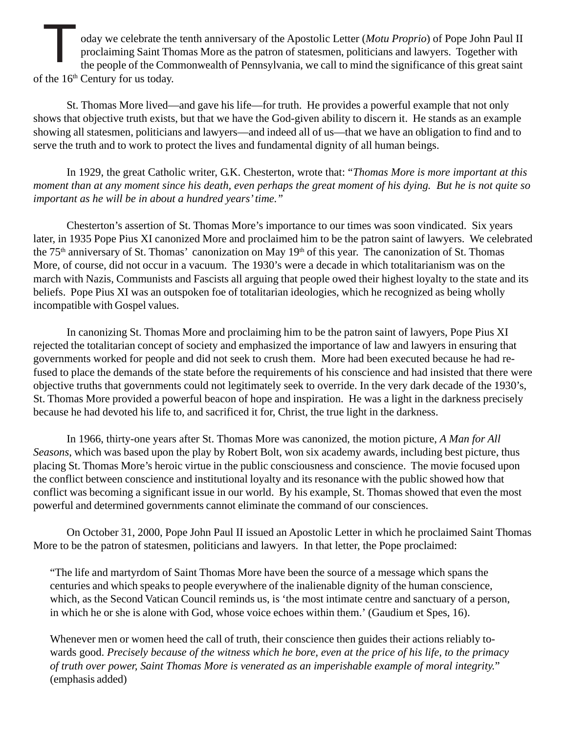oday we celebrate the tenth anniversary of the Apostolic Letter (*Motu Proprio*) of Pope John Paul II proclaiming Saint Thomas More as the patron of statesmen, politicians and lawyers. Together with the people of the Commonwealth of Pennsylvania, we call to mind the significance of this great saint of the 16<sup>th</sup> Century for us today. T

St. Thomas More lived—and gave his life—for truth. He provides a powerful example that not only shows that objective truth exists, but that we have the God-given ability to discern it. He stands as an example showing all statesmen, politicians and lawyers—and indeed all of us—that we have an obligation to find and to serve the truth and to work to protect the lives and fundamental dignity of all human beings.

In 1929, the great Catholic writer, G.K. Chesterton, wrote that: "*Thomas More is more important at this moment than at any moment since his death, even perhaps the great moment of his dying. But he is not quite so important as he will be in about a hundred years' time."*

Chesterton's assertion of St. Thomas More's importance to our times was soon vindicated. Six years later, in 1935 Pope Pius XI canonized More and proclaimed him to be the patron saint of lawyers. We celebrated the 75<sup>th</sup> anniversary of St. Thomas' canonization on May 19<sup>th</sup> of this year. The canonization of St. Thomas More, of course, did not occur in a vacuum. The 1930's were a decade in which totalitarianism was on the march with Nazis, Communists and Fascists all arguing that people owed their highest loyalty to the state and its beliefs. Pope Pius XI was an outspoken foe of totalitarian ideologies, which he recognized as being wholly incompatible with Gospel values.

In canonizing St. Thomas More and proclaiming him to be the patron saint of lawyers, Pope Pius XI rejected the totalitarian concept of society and emphasized the importance of law and lawyers in ensuring that governments worked for people and did not seek to crush them. More had been executed because he had refused to place the demands of the state before the requirements of his conscience and had insisted that there were objective truths that governments could not legitimately seek to override. In the very dark decade of the 1930's, St. Thomas More provided a powerful beacon of hope and inspiration. He was a light in the darkness precisely because he had devoted his life to, and sacrificed it for, Christ, the true light in the darkness.

In 1966, thirty-one years after St. Thomas More was canonized, the motion picture, *A Man for All Seasons*, which was based upon the play by Robert Bolt, won six academy awards, including best picture, thus placing St. Thomas More's heroic virtue in the public consciousness and conscience. The movie focused upon the conflict between conscience and institutional loyalty and its resonance with the public showed how that conflict was becoming a significant issue in our world. By his example, St. Thomas showed that even the most powerful and determined governments cannot eliminate the command of our consciences.

On October 31, 2000, Pope John Paul II issued an Apostolic Letter in which he proclaimed Saint Thomas More to be the patron of statesmen, politicians and lawyers. In that letter, the Pope proclaimed:

"The life and martyrdom of Saint Thomas More have been the source of a message which spans the centuries and which speaks to people everywhere of the inalienable dignity of the human conscience, which, as the Second Vatican Council reminds us, is 'the most intimate centre and sanctuary of a person, in which he or she is alone with God, whose voice echoes within them.' (Gaudium et Spes, 16).

Whenever men or women heed the call of truth, their conscience then guides their actions reliably towards good. *Precisely because of the witness which he bore, even at the price of his life, to the primacy of truth over power, Saint Thomas More is venerated as an imperishable example of moral integrity.*" (emphasis added)